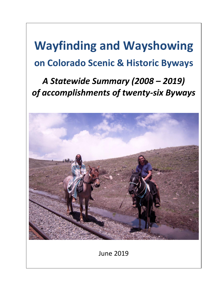# **Wayfinding and Wayshowing on Colorado Scenic & Historic Byways**

## *A Statewide Summary (2008 – 2019) of accomplishments of twenty-six Byways*



June 2019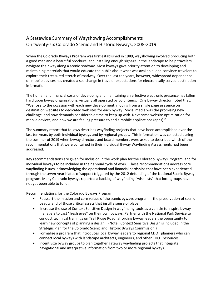### A Statewide Summary of Wayshowing Accomplishments On twenty-six Colorado Scenic and Historic Byways, 2008-2019

When the Colorado Byways Program was first established in 1989, wayshowing involved producing both a good map and a beautiful brochure, and installing enough signage in the landscape to help travelers navigate their way along a scenic roadway. Most byways gave priority attention to developing and maintaining materials that would educate the public about what was available, and convince travelers to explore their treasured stretch of roadway. Over the last ten years, however, widespread dependence on mobile devices has created a sea change in traveler expectations for electronically served destination information.

The human and financial costs of developing and maintaining an effective electronic presence has fallen hard upon byway organizations, virtually all operated by volunteers. One byway director noted that, "We rose to the occasion with each new development, moving from a single page presence on destination websites to dedicated websites for each byway. Social media was the promising new challenge, and now demands considerable time to keep up with. Next came website optimization for mobile devices, and now we are feeling pressure to add a mobile applications (apps)."

The summary report that follows describes wayfinding projects that have been accomplished over the last ten years by both individual byways and by regional groups. This information was collected during the summer of 2019 when byway directors and board members were asked to described which of the recommendations that were contained in their individual Byway Wayfinding Assessments had been addressed.

Key recommendations are given for inclusion in the work plan for the Colorado Byways Program, and for individual byways to be included in their annual cycle of work. These recommendations address core wayfinding issues, acknowledging the operational and financial hardships that have been experienced through the seven-year hiatus of support triggered by the 2012 defunding of the National Scenic Byway program. Many Colorado byways reported a backlog of wayfinding "wish lists" that local groups have not yet been able to fund.

Recommendations for the Colorado Byways Program

- Reassert the mission and core values of the scenic byways program -- the preservation of scenic beauty and of those critical assets that instill a sense of place.
- Increase the use of Context Sensitive Design in wayfinding tools as a vehicle to inspire byway managers to cast "fresh eyes" on their own byways. Partner with the National Park Service to conduct technical trainings on Trail Ridge Road, affording byway leaders the opportunity to learn new concepts of planning a design. (Note: Context Sensitive Design is included in the Strategic Plan for the Colorado Scenic and Historic Byways Commission.)
- Formalize a program that introduces local byway leaders to regional CDOT planners who can connect local byways with landscape architects, engineers, and other CDOT resources.
- Incentivize byway groups to plan together gateway wayfinding projects that integrate navigational and interpretive information from two or more regional byways.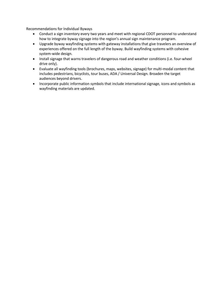Recommendations for Individual Byways

- Conduct a sign inventory every two years and meet with regional CDOT personnel to understand how to integrate byway signage into the region's annual sign maintenance program.
- Upgrade byway wayfinding systems with gateway installations that give travelers an overview of experiences offered on the full length of the byway. Build wayfinding systems with cohesive system-wide design.
- Install signage that warns travelers of dangerous road and weather conditions (i.e. four-wheel drive only).
- Evaluate all wayfinding tools (brochures, maps, websites, signage) for multi-modal content that includes pedestrians, bicyclists, tour buses, ADA / Universal Design. Broaden the target audiences beyond drivers.
- Incorporate public information symbols that include international signage, icons and symbols as wayfinding materials are updated.